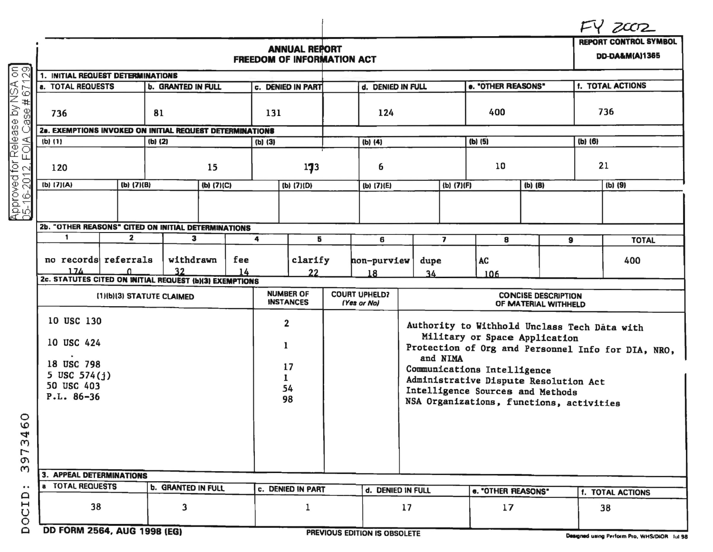|                                                                   |                                         |         |            |                     | <b>ANNUAL REPORT</b><br><b>FREEDOM OF INFORMATION ACT</b> |                                     |                                                                                                                                     |                    |                         |                    |         |                         | <b>REPORT CONTROL SYMBOL</b><br><b>DD-DA&amp;M(A)1365</b> |  |
|-------------------------------------------------------------------|-----------------------------------------|---------|------------|---------------------|-----------------------------------------------------------|-------------------------------------|-------------------------------------------------------------------------------------------------------------------------------------|--------------------|-------------------------|--------------------|---------|-------------------------|-----------------------------------------------------------|--|
| 1. INITIAL REQUEST DETERMINATIONS                                 |                                         |         |            |                     |                                                           |                                     |                                                                                                                                     |                    |                         |                    |         |                         |                                                           |  |
| <b>a. TOTAL REQUESTS</b><br><b>b. GRANTED IN FULL</b>             |                                         |         |            |                     | c. DENIED IN PART                                         |                                     | d. DENIED IN FULL                                                                                                                   |                    |                         | e. "OTHER REASONS" |         | f. TOTAL ACTIONS        |                                                           |  |
| 81<br>736                                                         |                                         |         |            | 131                 |                                                           | 124                                 |                                                                                                                                     |                    | 400                     |                    | 736     |                         |                                                           |  |
| 2a. EXEMPTIONS INVOKED ON INITIAL REQUEST DETERMINATIONS          |                                         |         |            |                     |                                                           |                                     |                                                                                                                                     |                    |                         |                    |         |                         |                                                           |  |
| $(b)$ $(1)$                                                       |                                         | (b) (2) |            | (b) (3)             |                                                           |                                     | (b) (4)                                                                                                                             |                    |                         | $(b)$ $(5)$        |         | (b) (6)                 |                                                           |  |
| Approved for Release by NSA<br>05-16-2012, FOIA Case # 671<br>120 |                                         | 15      |            |                     | 173                                                       |                                     | 6                                                                                                                                   |                    |                         | 10                 |         |                         | 21                                                        |  |
| (b) (7)(A)                                                        | (b) (7)(B)                              |         | (b) (7)(C) |                     | (b) (7)(D)                                                |                                     | (b) (7)(E)                                                                                                                          |                    | (b) (7)(F)              |                    | (b) (8) |                         | (b) (9)                                                   |  |
|                                                                   |                                         |         |            |                     |                                                           |                                     |                                                                                                                                     |                    |                         |                    |         |                         |                                                           |  |
| 2b. "OTHER REASONS" CITED ON INITIAL DETERMINATIONS               |                                         |         |            |                     |                                                           |                                     |                                                                                                                                     |                    |                         |                    |         |                         |                                                           |  |
|                                                                   | $\mathbf{1}$<br>$\mathbf{z}$<br>3       |         |            | 4                   | 5                                                         |                                     | 6                                                                                                                                   |                    | $\overline{\mathbf{z}}$ | 8                  | 9       |                         | <b>TOTAL</b>                                              |  |
| 174                                                               | no records referrals<br>withdrawn<br>32 |         |            | fee<br>14           | clarify<br>22                                             |                                     | non-purview<br>dupe<br>18<br>34                                                                                                     |                    |                         | AC<br>106          |         |                         | 400                                                       |  |
| 2c. STATUTES CITED ON INITIAL REQUEST (b)(3) EXEMPTIONS           |                                         |         |            |                     |                                                           |                                     |                                                                                                                                     |                    |                         |                    |         |                         |                                                           |  |
| (1)(b)(3) STATUTE CLAIMED                                         |                                         |         |            |                     | <b>NUMBER OF</b><br><b>INSTANCES</b>                      | <b>COURT UPHELD?</b><br>(Yes or No) | <b>CONCISE DESCRIPTION</b><br>OF MATERIAL WITHHELD                                                                                  |                    |                         |                    |         |                         |                                                           |  |
| 10 USC 130<br>10 USC 424                                          |                                         |         |            | $\overline{2}$<br>1 |                                                           |                                     | Authority to Withhold Unclass Tech Data with<br>Military or Space Application<br>Protection of Org and Personnel Info for DIA, NRO, |                    |                         |                    |         |                         |                                                           |  |
| 18 USC 798<br>5 USC $574(j)$                                      |                                         |         |            | 17<br>$\mathbf{I}$  |                                                           |                                     | and NIMA<br>Communications Intelligence<br>Administrative Dispute Resolution Act                                                    |                    |                         |                    |         |                         |                                                           |  |
| 50 USC 403<br>$P.L. 86-36$                                        |                                         |         |            | 54<br>98            |                                                           |                                     | Intelligence Sources and Methods<br>NSA Organizations, functions, activities                                                        |                    |                         |                    |         |                         |                                                           |  |
|                                                                   |                                         |         |            |                     |                                                           |                                     |                                                                                                                                     |                    |                         |                    |         |                         |                                                           |  |
| <b>3. APPEAL DETERMINATIONS</b>                                   |                                         |         |            |                     |                                                           |                                     |                                                                                                                                     |                    |                         |                    |         |                         |                                                           |  |
| a TOTAL REQUESTS                                                  |                                         |         |            |                     |                                                           |                                     |                                                                                                                                     |                    |                         |                    |         |                         |                                                           |  |
|                                                                   | <b>b. GRANTED IN FULL</b>               |         |            | c. DENIED IN PART   |                                                           | d. DENIED IN FULL                   |                                                                                                                                     | e. "OTHER REASONS" |                         |                    |         | <b>f. TOTAL ACTIONS</b> |                                                           |  |
| 38<br>3                                                           |                                         |         |            | 1                   |                                                           | 17                                  |                                                                                                                                     |                    | 17                      |                    |         | 38                      |                                                           |  |